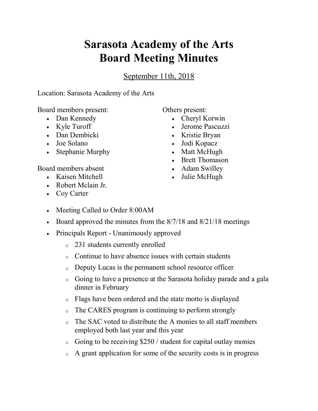## **Sarasota Academy of the Arts Board Meeting Minutes**

September 11th, 2018

Location: Sarasota Academy of the Arts

Board members present:

- Dan Kennedy
- Kyle Turoff
- Dan Dembicki
- Joe Solano
- Stephanie Murphy

Board members absent

- Kaisen Mitchell
- Robert Mclain Jr.
- Coy Carter

Others present:

- Cheryl Korwin
- Jerome Pascuzzi
- Kristie Bryan
- Jodi Kopacz
- Matt McHugh
- Brett Thomason
- Adam Swilley
- Julie McHugh
- Meeting Called to Order 8:00AM
- Board approved the minutes from the  $8/7/18$  and  $8/21/18$  meetings
- Principals Report Unanimously approved
	- o 231 students currently enrolled
	- o Continue to have absence issues with certain students
	- o Deputy Lucas is the permanent school resource officer
	- o Going to have a presence at the Sarasota holiday parade and a gala dinner in February
	- o Flags have been ordered and the state motto is displayed
	- o The CARES program is continuing to perform strongly
	- o The SAC voted to distribute the A monies to all staff members employed both last year and this year
	- $\circ$  Going to be receiving \$250 / student for capital outlay monies
	- o A grant application for some of the security costs is in progress